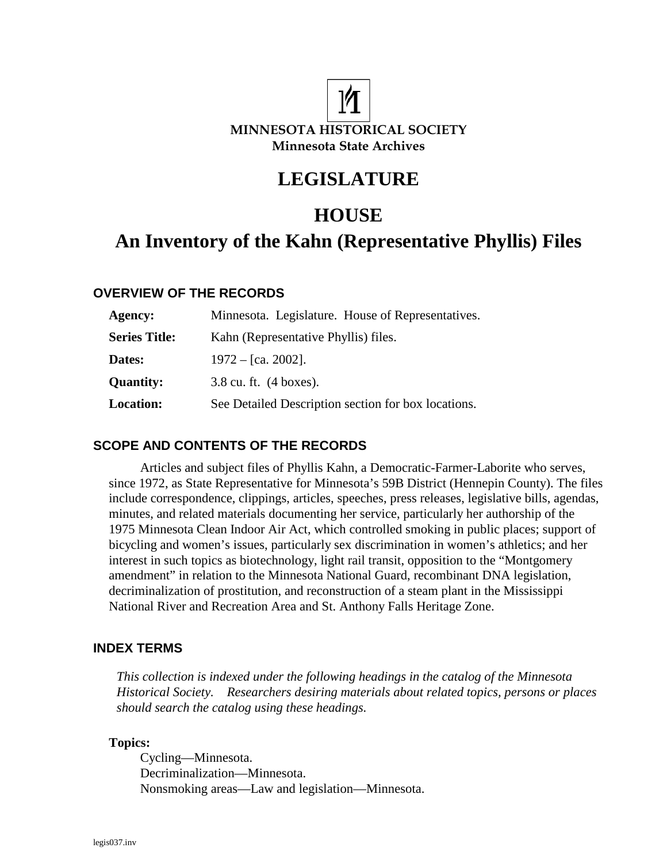

# **LEGISLATURE**

# **HOUSE**

# **An Inventory of the Kahn (Representative Phyllis) Files**

## **OVERVIEW OF THE RECORDS**

| Agency:              | Minnesota. Legislature. House of Representatives.   |
|----------------------|-----------------------------------------------------|
| <b>Series Title:</b> | Kahn (Representative Phyllis) files.                |
| Dates:               | $1972 - [ca. 2002]$ .                               |
| <b>Quantity:</b>     | $3.8$ cu. ft. $(4 \text{ boxes})$ .                 |
| <b>Location:</b>     | See Detailed Description section for box locations. |

## **SCOPE AND CONTENTS OF THE RECORDS**

Articles and subject files of Phyllis Kahn, a Democratic-Farmer-Laborite who serves, since 1972, as State Representative for Minnesota's 59B District (Hennepin County). The files include correspondence, clippings, articles, speeches, press releases, legislative bills, agendas, minutes, and related materials documenting her service, particularly her authorship of the 1975 Minnesota Clean Indoor Air Act, which controlled smoking in public places; support of bicycling and women's issues, particularly sex discrimination in women's athletics; and her interest in such topics as biotechnology, light rail transit, opposition to the "Montgomery amendment" in relation to the Minnesota National Guard, recombinant DNA legislation, decriminalization of prostitution, and reconstruction of a steam plant in the Mississippi National River and Recreation Area and St. Anthony Falls Heritage Zone.

## **INDEX TERMS**

*This collection is indexed under the following headings in the catalog of the Minnesota Historical Society. Researchers desiring materials about related topics, persons or places should search the catalog using these headings.* 

#### **Topics:**

Cycling—Minnesota. Decriminalization—Minnesota. Nonsmoking areas—Law and legislation—Minnesota.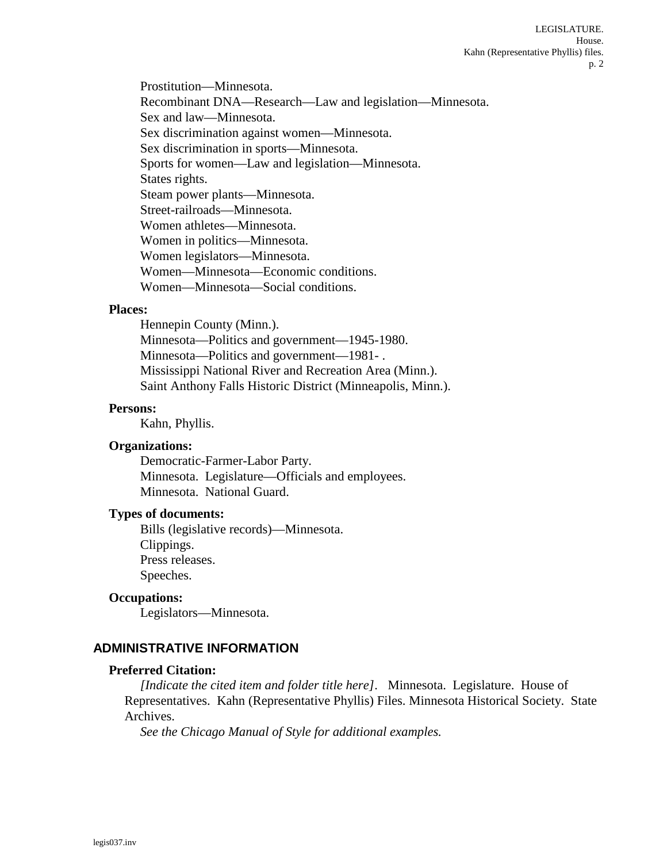Prostitution—Minnesota. Recombinant DNA—Research—Law and legislation—Minnesota. Sex and law—Minnesota. Sex discrimination against women—Minnesota. Sex discrimination in sports—Minnesota. Sports for women—Law and legislation—Minnesota. States rights. Steam power plants—Minnesota. Street-railroads—Minnesota. Women athletes—Minnesota. Women in politics—Minnesota. Women legislators—Minnesota. Women—Minnesota—Economic conditions. Women—Minnesota—Social conditions.

## **Places:**

Hennepin County (Minn.). Minnesota—Politics and government—1945-1980. Minnesota—Politics and government—1981- . Mississippi National River and Recreation Area (Minn.). Saint Anthony Falls Historic District (Minneapolis, Minn.).

#### **Persons:**

Kahn, Phyllis.

#### **Organizations:**

Democratic-Farmer-Labor Party. Minnesota. Legislature—Officials and employees. Minnesota. National Guard.

#### **Types of documents:**

Bills (legislative records)—Minnesota. Clippings. Press releases. Speeches.

#### **Occupations:**

Legislators—Minnesota.

## **ADMINISTRATIVE INFORMATION**

#### **Preferred Citation:**

*[Indicate the cited item and folder title here].* Minnesota. Legislature. House of Representatives. Kahn (Representative Phyllis) Files. Minnesota Historical Society. State Archives.

*See the Chicago Manual of Style for additional examples.*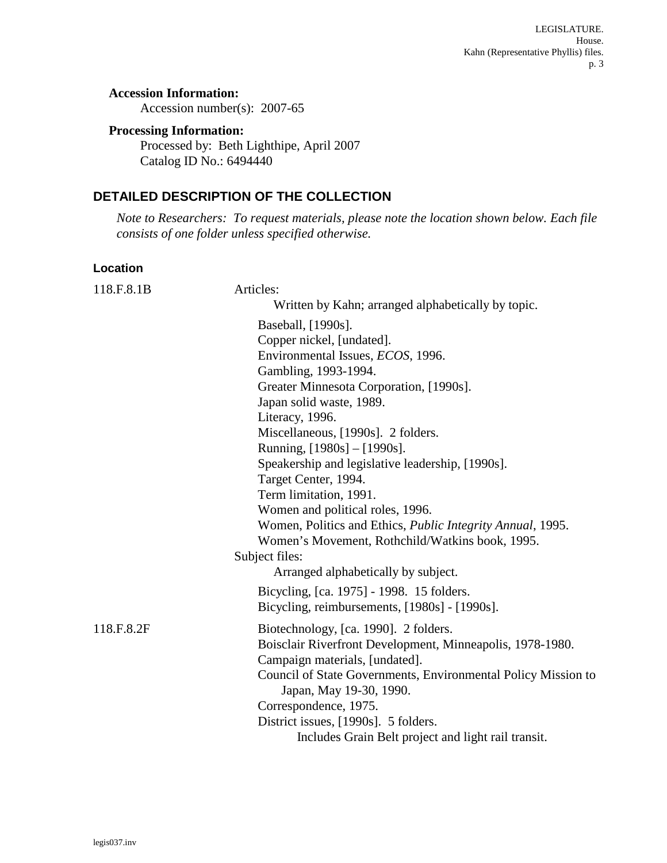## **Accession Information:**

Accession number(s): 2007-65

#### **Processing Information:**

Processed by: Beth Lighthipe, April 2007 Catalog ID No.: 6494440

## **DETAILED DESCRIPTION OF THE COLLECTION**

*Note to Researchers: To request materials, please note the location shown below. Each file consists of one folder unless specified otherwise.* 

#### **Location**

| 118.F.8.1B | Articles:                                                     |
|------------|---------------------------------------------------------------|
|            | Written by Kahn; arranged alphabetically by topic.            |
|            | Baseball, [1990s].                                            |
|            | Copper nickel, [undated].                                     |
|            | Environmental Issues, <i>ECOS</i> , 1996.                     |
|            | Gambling, 1993-1994.                                          |
|            | Greater Minnesota Corporation, [1990s].                       |
|            | Japan solid waste, 1989.                                      |
|            | Literacy, 1996.                                               |
|            | Miscellaneous, [1990s]. 2 folders.                            |
|            | Running, [1980s] - [1990s].                                   |
|            | Speakership and legislative leadership, [1990s].              |
|            | Target Center, 1994.                                          |
|            | Term limitation, 1991.                                        |
|            | Women and political roles, 1996.                              |
|            | Women, Politics and Ethics, Public Integrity Annual, 1995.    |
|            | Women's Movement, Rothchild/Watkins book, 1995.               |
|            | Subject files:                                                |
|            | Arranged alphabetically by subject.                           |
|            | Bicycling, [ca. 1975] - 1998. 15 folders.                     |
|            | Bicycling, reimbursements, [1980s] - [1990s].                 |
| 118.F.8.2F | Biotechnology, [ca. 1990]. 2 folders.                         |
|            | Boisclair Riverfront Development, Minneapolis, 1978-1980.     |
|            | Campaign materials, [undated].                                |
|            | Council of State Governments, Environmental Policy Mission to |
|            | Japan, May 19-30, 1990.                                       |
|            | Correspondence, 1975.                                         |
|            | District issues, [1990s]. 5 folders.                          |
|            | Includes Grain Belt project and light rail transit.           |